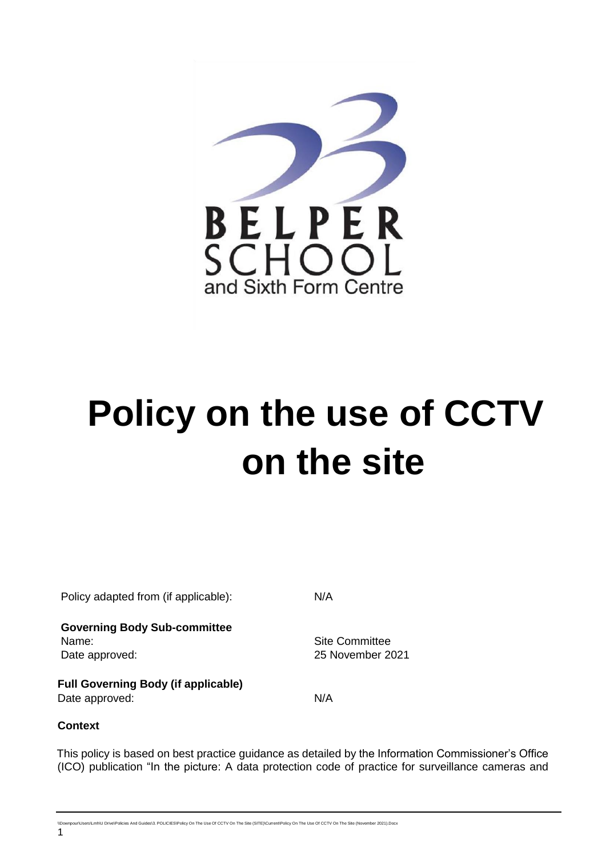

# **Policy on the use of CCTV on the site**

| Policy adapted from (if applicable):                           | N/A                                       |
|----------------------------------------------------------------|-------------------------------------------|
| <b>Governing Body Sub-committee</b><br>Name:<br>Date approved: | <b>Site Committee</b><br>25 November 2021 |
| <b>Full Governing Body (if applicable)</b><br>Date approved:   | N/A                                       |

# **Context**

This policy is based on best practice guidance as detailed by the Information Commissioner's Office (ICO) publication "In the picture: A data protection code of practice for surveillance cameras and

.<br>Nicies And Guides\3. POLICIES\Policy On The Use Of CCTV On The Site (SITE)\Current\Policy On The Use Of CCTV On The Site (November 2021).Docx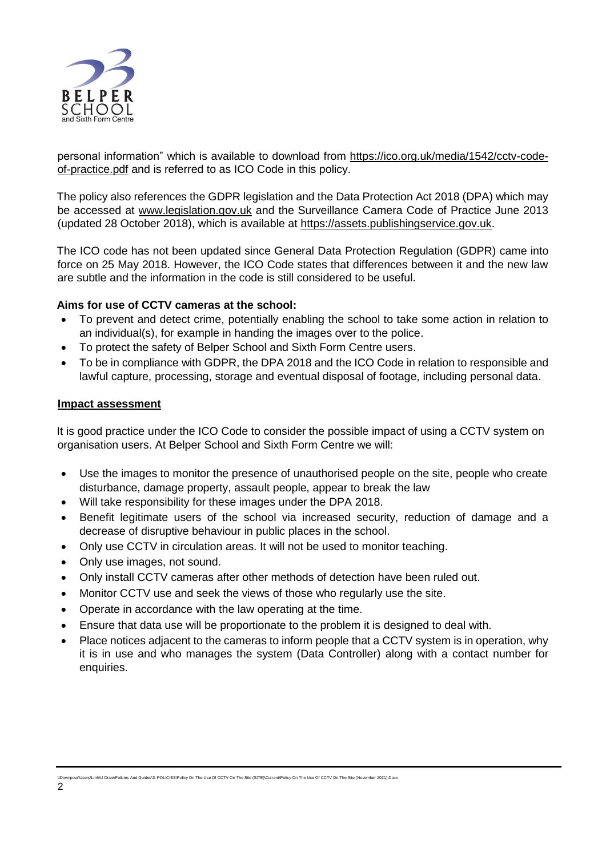

personal information" which is available to download from [https://ico.org.uk/media/1542/cctv-code](https://ico.org.uk/media/1542/cctv-code-of-practice.pdf)[of-practice.pdf](https://ico.org.uk/media/1542/cctv-code-of-practice.pdf) and is referred to as ICO Code in this policy.

The policy also references the GDPR legislation and the Data Protection Act 2018 (DPA) which may be accessed at [www.legislation.gov.uk](http://www.legislation.gov.uk/) and the Surveillance Camera Code of Practice June 2013 (updated 28 October 2018), which is available at [https://assets.publishingservice.gov.uk.](https://assets.publishingservice.gov.uk/)

The ICO code has not been updated since General Data Protection Regulation (GDPR) came into force on 25 May 2018. However, the ICO Code states that differences between it and the new law are subtle and the information in the code is still considered to be useful.

## **Aims for use of CCTV cameras at the school:**

- To prevent and detect crime, potentially enabling the school to take some action in relation to an individual(s), for example in handing the images over to the police.
- To protect the safety of Belper School and Sixth Form Centre users.
- To be in compliance with GDPR, the DPA 2018 and the ICO Code in relation to responsible and lawful capture, processing, storage and eventual disposal of footage, including personal data.

#### **Impact assessment**

It is good practice under the ICO Code to consider the possible impact of using a CCTV system on organisation users. At Belper School and Sixth Form Centre we will:

- Use the images to monitor the presence of unauthorised people on the site, people who create disturbance, damage property, assault people, appear to break the law
- Will take responsibility for these images under the DPA 2018.
- Benefit legitimate users of the school via increased security, reduction of damage and a decrease of disruptive behaviour in public places in the school.
- Only use CCTV in circulation areas. It will not be used to monitor teaching.
- Only use images, not sound.
- Only install CCTV cameras after other methods of detection have been ruled out.
- Monitor CCTV use and seek the views of those who regularly use the site.
- Operate in accordance with the law operating at the time.
- Ensure that data use will be proportionate to the problem it is designed to deal with.
- Place notices adjacent to the cameras to inform people that a CCTV system is in operation, why it is in use and who manages the system (Data Controller) along with a contact number for enquiries.

.<br>IS.3. POLICIES\Policy On The Use Of CCTV On The Site (SITE)\Current\Policy On The Use Of CCTV On The Site (November 2021).Docx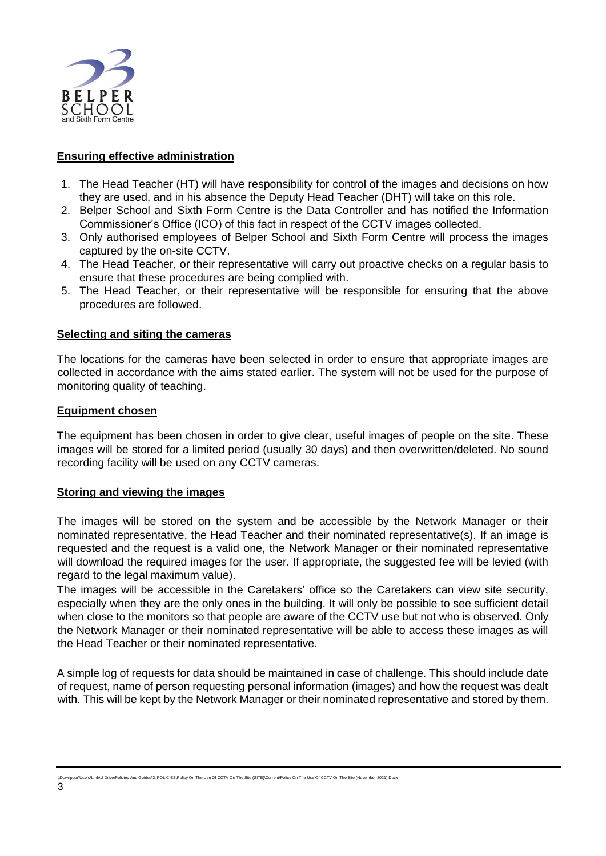

# **Ensuring effective administration**

- 1. The Head Teacher (HT) will have responsibility for control of the images and decisions on how they are used, and in his absence the Deputy Head Teacher (DHT) will take on this role.
- 2. Belper School and Sixth Form Centre is the Data Controller and has notified the Information Commissioner's Office (ICO) of this fact in respect of the CCTV images collected.
- 3. Only authorised employees of Belper School and Sixth Form Centre will process the images captured by the on-site CCTV.
- 4. The Head Teacher, or their representative will carry out proactive checks on a regular basis to ensure that these procedures are being complied with.
- 5. The Head Teacher, or their representative will be responsible for ensuring that the above procedures are followed.

## **Selecting and siting the cameras**

The locations for the cameras have been selected in order to ensure that appropriate images are collected in accordance with the aims stated earlier. The system will not be used for the purpose of monitoring quality of teaching.

#### **Equipment chosen**

The equipment has been chosen in order to give clear, useful images of people on the site. These images will be stored for a limited period (usually 30 days) and then overwritten/deleted. No sound recording facility will be used on any CCTV cameras.

#### **Storing and viewing the images**

The images will be stored on the system and be accessible by the Network Manager or their nominated representative, the Head Teacher and their nominated representative(s). If an image is requested and the request is a valid one, the Network Manager or their nominated representative will download the required images for the user. If appropriate, the suggested fee will be levied (with regard to the legal maximum value).

The images will be accessible in the Caretakers' office so the Caretakers can view site security, especially when they are the only ones in the building. It will only be possible to see sufficient detail when close to the monitors so that people are aware of the CCTV use but not who is observed. Only the Network Manager or their nominated representative will be able to access these images as will the Head Teacher or their nominated representative.

A simple log of requests for data should be maintained in case of challenge. This should include date of request, name of person requesting personal information (images) and how the request was dealt with. This will be kept by the Network Manager or their nominated representative and stored by them.

.<br>Lies And Guides\3. POLICIES\Policy On The Use Of CCTV On The Site (SITE)\Current\Policy On The Use Of CCTV On The Site (November 2021).Docx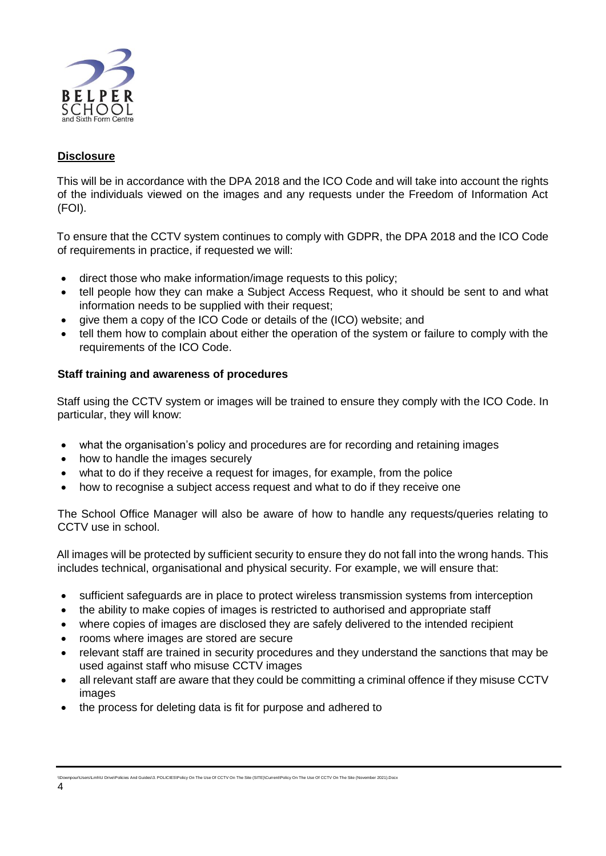

# **Disclosure**

This will be in accordance with the DPA 2018 and the ICO Code and will take into account the rights of the individuals viewed on the images and any requests under the Freedom of Information Act (FOI).

To ensure that the CCTV system continues to comply with GDPR, the DPA 2018 and the ICO Code of requirements in practice, if requested we will:

- direct those who make information/image requests to this policy;
- tell people how they can make a Subject Access Request, who it should be sent to and what information needs to be supplied with their request;
- give them a copy of the ICO Code or details of the (ICO) website; and
- tell them how to complain about either the operation of the system or failure to comply with the requirements of the ICO Code.

#### **Staff training and awareness of procedures**

Staff using the CCTV system or images will be trained to ensure they comply with the ICO Code. In particular, they will know:

- what the organisation's policy and procedures are for recording and retaining images
- how to handle the images securely
- what to do if they receive a request for images, for example, from the police
- how to recognise a subject access request and what to do if they receive one

The School Office Manager will also be aware of how to handle any requests/queries relating to CCTV use in school.

All images will be protected by sufficient security to ensure they do not fall into the wrong hands. This includes technical, organisational and physical security. For example, we will ensure that:

- sufficient safeguards are in place to protect wireless transmission systems from interception
- the ability to make copies of images is restricted to authorised and appropriate staff
- where copies of images are disclosed they are safely delivered to the intended recipient
- rooms where images are stored are secure
- relevant staff are trained in security procedures and they understand the sanctions that may be used against staff who misuse CCTV images
- all relevant staff are aware that they could be committing a criminal offence if they misuse CCTV images
- the process for deleting data is fit for purpose and adhered to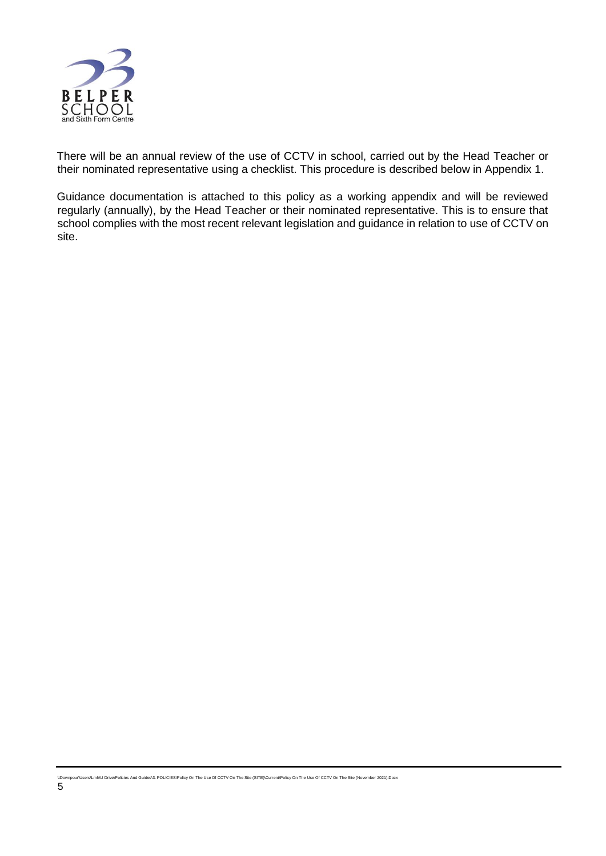

There will be an annual review of the use of CCTV in school, carried out by the Head Teacher or their nominated representative using a checklist. This procedure is described below in Appendix 1.

Guidance documentation is attached to this policy as a working appendix and will be reviewed regularly (annually), by the Head Teacher or their nominated representative. This is to ensure that school complies with the most recent relevant legislation and guidance in relation to use of CCTV on site.

\\Downpour\Users\Lmh\U Drive\Policies And Guides\3. POLICIES\Policy On The Use Of CCTV On The Site (SITE)\Current\Policy On The Use Of CCTV On The Site (November 2021).Docx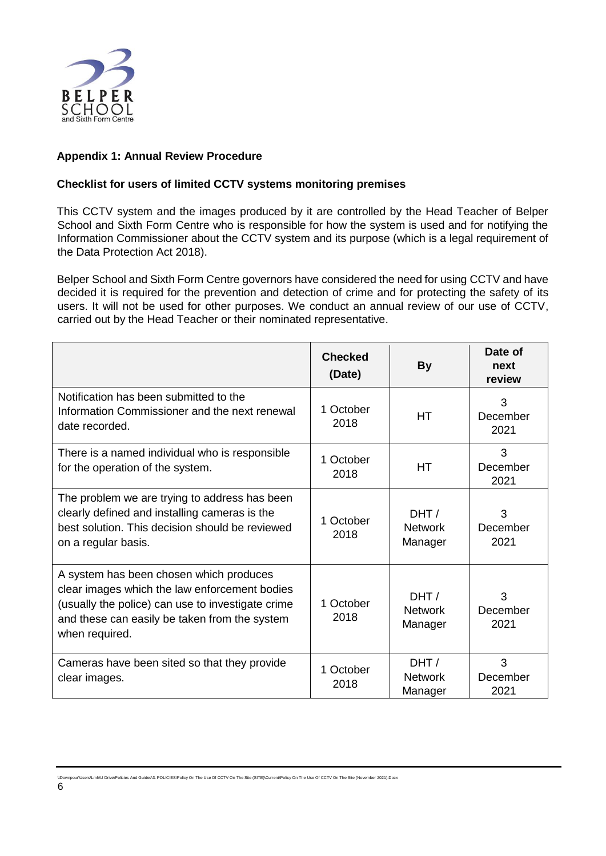

# **Appendix 1: Annual Review Procedure**

# **Checklist for users of limited CCTV systems monitoring premises**

This CCTV system and the images produced by it are controlled by the Head Teacher of Belper School and Sixth Form Centre who is responsible for how the system is used and for notifying the Information Commissioner about the CCTV system and its purpose (which is a legal requirement of the Data Protection Act 2018).

Belper School and Sixth Form Centre governors have considered the need for using CCTV and have decided it is required for the prevention and detection of crime and for protecting the safety of its users. It will not be used for other purposes. We conduct an annual review of our use of CCTV, carried out by the Head Teacher or their nominated representative.

|                                                                                                                                                                                                                  | <b>Checked</b><br>(Date) | <b>By</b>                         | Date of<br>next<br>review |
|------------------------------------------------------------------------------------------------------------------------------------------------------------------------------------------------------------------|--------------------------|-----------------------------------|---------------------------|
| Notification has been submitted to the<br>Information Commissioner and the next renewal<br>date recorded.                                                                                                        | 1 October<br>2018        | <b>HT</b>                         | 3<br>December<br>2021     |
| There is a named individual who is responsible<br>for the operation of the system.                                                                                                                               | 1 October<br>2018        | <b>HT</b>                         | 3<br>December<br>2021     |
| The problem we are trying to address has been<br>clearly defined and installing cameras is the<br>best solution. This decision should be reviewed<br>on a regular basis.                                         | 1 October<br>2018        | DHT/<br><b>Network</b><br>Manager | 3<br>December<br>2021     |
| A system has been chosen which produces<br>clear images which the law enforcement bodies<br>(usually the police) can use to investigate crime<br>and these can easily be taken from the system<br>when required. | 1 October<br>2018        | DHT/<br><b>Network</b><br>Manager | 3<br>December<br>2021     |
| Cameras have been sited so that they provide<br>clear images.                                                                                                                                                    | 1 October<br>2018        | DHT/<br><b>Network</b><br>Manager | 3<br>December<br>2021     |

And Guides\3. POLICIES\Policy On The Use Of CCTV On The Site (SITE)\Current\Policy On The Use Of CCTV On The Site (November 2021).Docx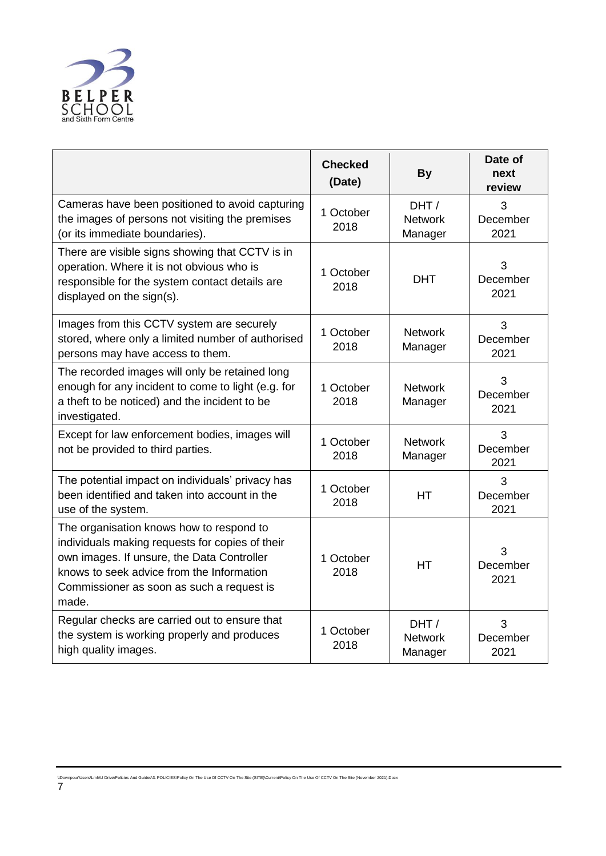

|                                                                                                                                                                                                                                              | <b>Checked</b><br>(Date) | <b>By</b>                         | Date of<br>next<br>review |
|----------------------------------------------------------------------------------------------------------------------------------------------------------------------------------------------------------------------------------------------|--------------------------|-----------------------------------|---------------------------|
| Cameras have been positioned to avoid capturing<br>the images of persons not visiting the premises<br>(or its immediate boundaries).                                                                                                         | 1 October<br>2018        | DHT/<br><b>Network</b><br>Manager | 3<br>December<br>2021     |
| There are visible signs showing that CCTV is in<br>operation. Where it is not obvious who is<br>responsible for the system contact details are<br>displayed on the sign(s).                                                                  | 1 October<br>2018        | <b>DHT</b>                        | 3<br>December<br>2021     |
| Images from this CCTV system are securely<br>stored, where only a limited number of authorised<br>persons may have access to them.                                                                                                           | 1 October<br>2018        | <b>Network</b><br>Manager         | 3<br>December<br>2021     |
| The recorded images will only be retained long<br>enough for any incident to come to light (e.g. for<br>a theft to be noticed) and the incident to be<br>investigated.                                                                       | 1 October<br>2018        | <b>Network</b><br>Manager         | 3<br>December<br>2021     |
| Except for law enforcement bodies, images will<br>not be provided to third parties.                                                                                                                                                          | 1 October<br>2018        | <b>Network</b><br>Manager         | 3<br>December<br>2021     |
| The potential impact on individuals' privacy has<br>been identified and taken into account in the<br>use of the system.                                                                                                                      | 1 October<br>2018        | <b>HT</b>                         | 3<br>December<br>2021     |
| The organisation knows how to respond to<br>individuals making requests for copies of their<br>own images. If unsure, the Data Controller<br>knows to seek advice from the Information<br>Commissioner as soon as such a request is<br>made. | 1 October<br>2018        | <b>HT</b>                         | 3<br>December<br>2021     |
| Regular checks are carried out to ensure that<br>the system is working properly and produces<br>high quality images.                                                                                                                         | 1 October<br>2018        | DHT/<br><b>Network</b><br>Manager | 3<br>December<br>2021     |

\\Downpour\Users\Lmh\U Drive\Policies And Guides\3. POLICIES\Policy On The Use Of CCTV On The Site (SITE)\Current\Policy On The Use Of CCTV On The Site (November 2021).Docx